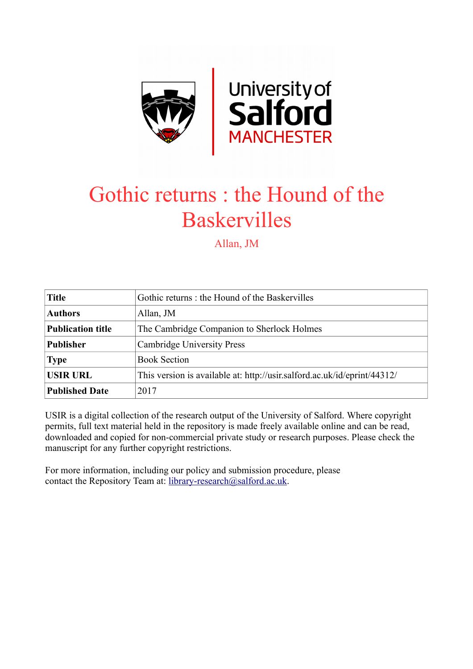

# Gothic returns : the Hound of the Baskervilles

Allan, JM

| <b>Title</b>             | Gothic returns: the Hound of the Baskervilles                            |
|--------------------------|--------------------------------------------------------------------------|
| <b>Authors</b>           | Allan, JM                                                                |
| <b>Publication title</b> | The Cambridge Companion to Sherlock Holmes                               |
| <b>Publisher</b>         | <b>Cambridge University Press</b>                                        |
| <b>Type</b>              | <b>Book Section</b>                                                      |
| <b>USIR URL</b>          | This version is available at: http://usir.salford.ac.uk/id/eprint/44312/ |
| <b>Published Date</b>    | 2017                                                                     |

USIR is a digital collection of the research output of the University of Salford. Where copyright permits, full text material held in the repository is made freely available online and can be read, downloaded and copied for non-commercial private study or research purposes. Please check the manuscript for any further copyright restrictions.

For more information, including our policy and submission procedure, please contact the Repository Team at: [library-research@salford.ac.uk.](mailto:library-research@salford.ac.uk)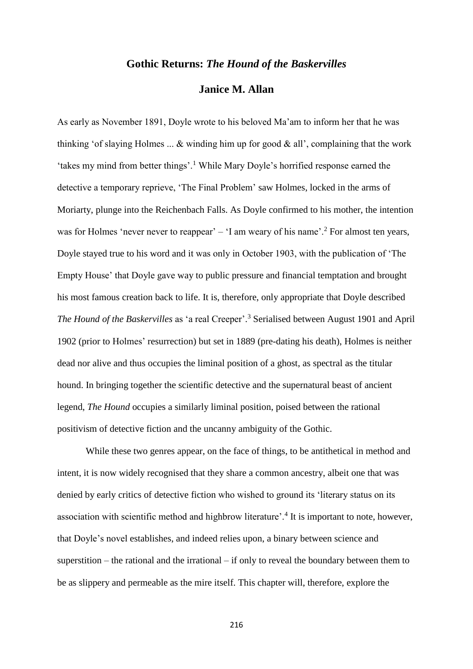## **Gothic Returns:** *The Hound of the Baskervilles*

# **Janice M. Allan**

As early as November 1891, Doyle wrote to his beloved Ma'am to inform her that he was thinking 'of slaying Holmes ...  $\&$  winding him up for good  $\&$  all', complaining that the work 'takes my mind from better things'.<sup>1</sup> While Mary Doyle's horrified response earned the detective a temporary reprieve, 'The Final Problem' saw Holmes, locked in the arms of Moriarty, plunge into the Reichenbach Falls. As Doyle confirmed to his mother, the intention was for Holmes 'never never to reappear' – 'I am weary of his name'.<sup>2</sup> For almost ten years, Doyle stayed true to his word and it was only in October 1903, with the publication of 'The Empty House' that Doyle gave way to public pressure and financial temptation and brought his most famous creation back to life. It is, therefore, only appropriate that Doyle described *The Hound of the Baskervilles* as 'a real Creeper'. <sup>3</sup> Serialised between August 1901 and April 1902 (prior to Holmes' resurrection) but set in 1889 (pre-dating his death), Holmes is neither dead nor alive and thus occupies the liminal position of a ghost, as spectral as the titular hound. In bringing together the scientific detective and the supernatural beast of ancient legend, *The Hound* occupies a similarly liminal position, poised between the rational positivism of detective fiction and the uncanny ambiguity of the Gothic.

While these two genres appear, on the face of things, to be antithetical in method and intent, it is now widely recognised that they share a common ancestry, albeit one that was denied by early critics of detective fiction who wished to ground its 'literary status on its association with scientific method and highbrow literature'.<sup>4</sup> It is important to note, however, that Doyle's novel establishes, and indeed relies upon, a binary between science and superstition – the rational and the irrational – if only to reveal the boundary between them to be as slippery and permeable as the mire itself. This chapter will, therefore, explore the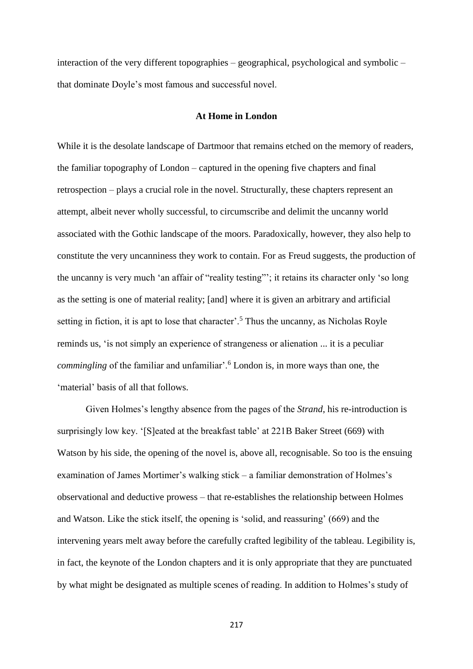interaction of the very different topographies – geographical, psychological and symbolic – that dominate Doyle's most famous and successful novel.

## **At Home in London**

While it is the desolate landscape of Dartmoor that remains etched on the memory of readers, the familiar topography of London – captured in the opening five chapters and final retrospection – plays a crucial role in the novel. Structurally, these chapters represent an attempt, albeit never wholly successful, to circumscribe and delimit the uncanny world associated with the Gothic landscape of the moors. Paradoxically, however, they also help to constitute the very uncanniness they work to contain. For as Freud suggests, the production of the uncanny is very much 'an affair of "reality testing"'; it retains its character only 'so long as the setting is one of material reality; [and] where it is given an arbitrary and artificial setting in fiction, it is apt to lose that character'.<sup>5</sup> Thus the uncanny, as Nicholas Royle reminds us, 'is not simply an experience of strangeness or alienation ... it is a peculiar *commingling* of the familiar and unfamiliar'.<sup>6</sup> London is, in more ways than one, the 'material' basis of all that follows.

Given Holmes's lengthy absence from the pages of the *Strand*, his re-introduction is surprisingly low key. '[S]eated at the breakfast table' at 221B Baker Street (669) with Watson by his side, the opening of the novel is, above all, recognisable. So too is the ensuing examination of James Mortimer's walking stick – a familiar demonstration of Holmes's observational and deductive prowess – that re-establishes the relationship between Holmes and Watson. Like the stick itself, the opening is 'solid, and reassuring' (669) and the intervening years melt away before the carefully crafted legibility of the tableau. Legibility is, in fact, the keynote of the London chapters and it is only appropriate that they are punctuated by what might be designated as multiple scenes of reading. In addition to Holmes's study of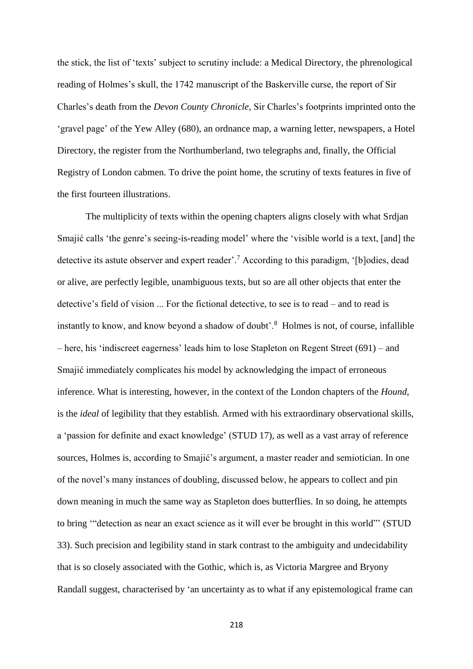the stick, the list of 'texts' subject to scrutiny include: a Medical Directory, the phrenological reading of Holmes's skull, the 1742 manuscript of the Baskerville curse, the report of Sir Charles's death from the *Devon County Chronicle*, Sir Charles's footprints imprinted onto the 'gravel page' of the Yew Alley (680), an ordnance map, a warning letter, newspapers, a Hotel Directory, the register from the Northumberland, two telegraphs and, finally, the Official Registry of London cabmen. To drive the point home, the scrutiny of texts features in five of the first fourteen illustrations.

The multiplicity of texts within the opening chapters aligns closely with what Srdjan Smajić calls 'the genre's seeing-is-reading model' where the 'visible world is a text, [and] the detective its astute observer and expert reader'.<sup>7</sup> According to this paradigm, '[b]odies, dead or alive, are perfectly legible, unambiguous texts, but so are all other objects that enter the detective's field of vision ... For the fictional detective, to see is to read – and to read is instantly to know, and know beyond a shadow of doubt'.<sup>8</sup> Holmes is not, of course, infallible – here, his 'indiscreet eagerness' leads him to lose Stapleton on Regent Street (691) – and Smajić immediately complicates his model by acknowledging the impact of erroneous inference. What is interesting, however, in the context of the London chapters of the *Hound*, is the *ideal* of legibility that they establish. Armed with his extraordinary observational skills, a 'passion for definite and exact knowledge' (STUD 17), as well as a vast array of reference sources, Holmes is, according to Smajić's argument, a master reader and semiotician. In one of the novel's many instances of doubling, discussed below, he appears to collect and pin down meaning in much the same way as Stapleton does butterflies. In so doing, he attempts to bring '"detection as near an exact science as it will ever be brought in this world"' (STUD 33). Such precision and legibility stand in stark contrast to the ambiguity and undecidability that is so closely associated with the Gothic, which is, as Victoria Margree and Bryony Randall suggest, characterised by 'an uncertainty as to what if any epistemological frame can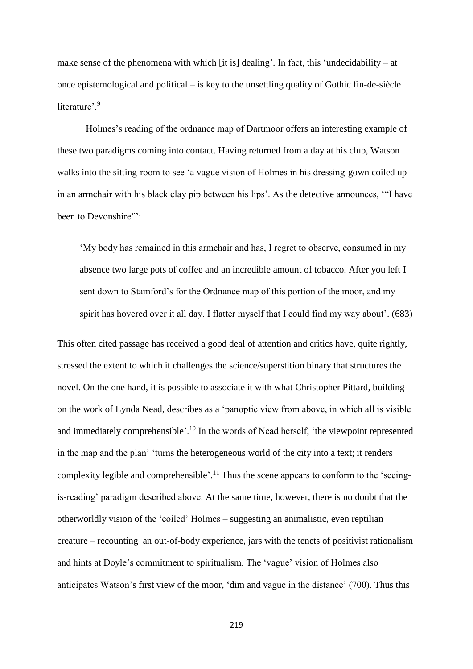make sense of the phenomena with which [it is] dealing'. In fact, this 'undecidability – at once epistemological and political – is key to the unsettling quality of Gothic fin-de-siècle literature'.<sup>9</sup>

Holmes's reading of the ordnance map of Dartmoor offers an interesting example of these two paradigms coming into contact. Having returned from a day at his club, Watson walks into the sitting-room to see 'a vague vision of Holmes in his dressing-gown coiled up in an armchair with his black clay pip between his lips'. As the detective announces, '"I have been to Devonshire"':

'My body has remained in this armchair and has, I regret to observe, consumed in my absence two large pots of coffee and an incredible amount of tobacco. After you left I sent down to Stamford's for the Ordnance map of this portion of the moor, and my spirit has hovered over it all day. I flatter myself that I could find my way about'. (683)

This often cited passage has received a good deal of attention and critics have, quite rightly, stressed the extent to which it challenges the science/superstition binary that structures the novel. On the one hand, it is possible to associate it with what Christopher Pittard, building on the work of Lynda Nead, describes as a 'panoptic view from above, in which all is visible and immediately comprehensible'.<sup>10</sup> In the words of Nead herself, 'the viewpoint represented in the map and the plan' 'turns the heterogeneous world of the city into a text; it renders complexity legible and comprehensible'.<sup>11</sup> Thus the scene appears to conform to the 'seeingis-reading' paradigm described above. At the same time, however, there is no doubt that the otherworldly vision of the 'coiled' Holmes – suggesting an animalistic, even reptilian creature – recounting an out-of-body experience, jars with the tenets of positivist rationalism and hints at Doyle's commitment to spiritualism. The 'vague' vision of Holmes also anticipates Watson's first view of the moor, 'dim and vague in the distance' (700). Thus this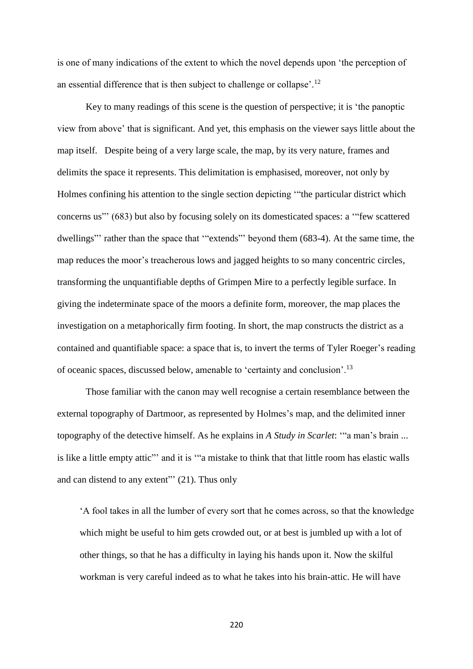is one of many indications of the extent to which the novel depends upon 'the perception of an essential difference that is then subject to challenge or collapse'.<sup>12</sup>

Key to many readings of this scene is the question of perspective; it is 'the panoptic view from above' that is significant. And yet, this emphasis on the viewer says little about the map itself. Despite being of a very large scale, the map, by its very nature, frames and delimits the space it represents. This delimitation is emphasised, moreover, not only by Holmes confining his attention to the single section depicting '"the particular district which concerns us"' (683) but also by focusing solely on its domesticated spaces: a '"few scattered dwellings"' rather than the space that '"extends"' beyond them (683-4). At the same time, the map reduces the moor's treacherous lows and jagged heights to so many concentric circles, transforming the unquantifiable depths of Grimpen Mire to a perfectly legible surface. In giving the indeterminate space of the moors a definite form, moreover, the map places the investigation on a metaphorically firm footing. In short, the map constructs the district as a contained and quantifiable space: a space that is, to invert the terms of Tyler Roeger's reading of oceanic spaces, discussed below, amenable to 'certainty and conclusion'.<sup>13</sup>

Those familiar with the canon may well recognise a certain resemblance between the external topography of Dartmoor, as represented by Holmes's map, and the delimited inner topography of the detective himself. As he explains in *A Study in Scarlet*: '"a man's brain ... is like a little empty attic"' and it is '"a mistake to think that that little room has elastic walls and can distend to any extent" (21). Thus only

'A fool takes in all the lumber of every sort that he comes across, so that the knowledge which might be useful to him gets crowded out, or at best is jumbled up with a lot of other things, so that he has a difficulty in laying his hands upon it. Now the skilful workman is very careful indeed as to what he takes into his brain-attic. He will have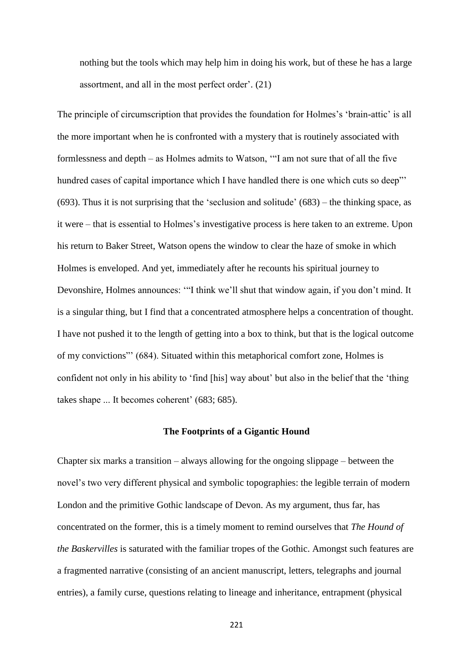nothing but the tools which may help him in doing his work, but of these he has a large assortment, and all in the most perfect order'. (21)

The principle of circumscription that provides the foundation for Holmes's 'brain-attic' is all the more important when he is confronted with a mystery that is routinely associated with formlessness and depth – as Holmes admits to Watson, '"I am not sure that of all the five hundred cases of capital importance which I have handled there is one which cuts so deep"' (693). Thus it is not surprising that the 'seclusion and solitude' (683) – the thinking space, as it were – that is essential to Holmes's investigative process is here taken to an extreme. Upon his return to Baker Street, Watson opens the window to clear the haze of smoke in which Holmes is enveloped. And yet, immediately after he recounts his spiritual journey to Devonshire, Holmes announces: '"I think we'll shut that window again, if you don't mind. It is a singular thing, but I find that a concentrated atmosphere helps a concentration of thought. I have not pushed it to the length of getting into a box to think, but that is the logical outcome of my convictions"' (684). Situated within this metaphorical comfort zone, Holmes is confident not only in his ability to 'find [his] way about' but also in the belief that the 'thing takes shape ... It becomes coherent' (683; 685).

## **The Footprints of a Gigantic Hound**

Chapter six marks a transition – always allowing for the ongoing slippage – between the novel's two very different physical and symbolic topographies: the legible terrain of modern London and the primitive Gothic landscape of Devon. As my argument, thus far, has concentrated on the former, this is a timely moment to remind ourselves that *The Hound of the Baskervilles* is saturated with the familiar tropes of the Gothic. Amongst such features are a fragmented narrative (consisting of an ancient manuscript, letters, telegraphs and journal entries), a family curse, questions relating to lineage and inheritance, entrapment (physical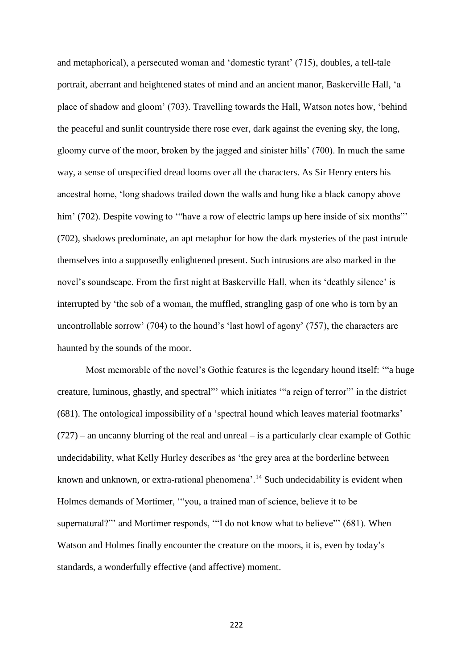and metaphorical), a persecuted woman and 'domestic tyrant' (715), doubles, a tell-tale portrait, aberrant and heightened states of mind and an ancient manor, Baskerville Hall, 'a place of shadow and gloom' (703). Travelling towards the Hall, Watson notes how, 'behind the peaceful and sunlit countryside there rose ever, dark against the evening sky, the long, gloomy curve of the moor, broken by the jagged and sinister hills' (700). In much the same way, a sense of unspecified dread looms over all the characters. As Sir Henry enters his ancestral home, 'long shadows trailed down the walls and hung like a black canopy above him' (702). Despite vowing to "have a row of electric lamps up here inside of six months" (702), shadows predominate, an apt metaphor for how the dark mysteries of the past intrude themselves into a supposedly enlightened present. Such intrusions are also marked in the novel's soundscape. From the first night at Baskerville Hall, when its 'deathly silence' is interrupted by 'the sob of a woman, the muffled, strangling gasp of one who is torn by an uncontrollable sorrow' (704) to the hound's 'last howl of agony' (757), the characters are haunted by the sounds of the moor.

Most memorable of the novel's Gothic features is the legendary hound itself: '"a huge creature, luminous, ghastly, and spectral"' which initiates '"a reign of terror"' in the district (681). The ontological impossibility of a 'spectral hound which leaves material footmarks' (727) – an uncanny blurring of the real and unreal – is a particularly clear example of Gothic undecidability, what Kelly Hurley describes as 'the grey area at the borderline between known and unknown, or extra-rational phenomena'.<sup>14</sup> Such undecidability is evident when Holmes demands of Mortimer, '"you, a trained man of science, believe it to be supernatural?"' and Mortimer responds, "'I do not know what to believe"' (681). When Watson and Holmes finally encounter the creature on the moors, it is, even by today's standards, a wonderfully effective (and affective) moment.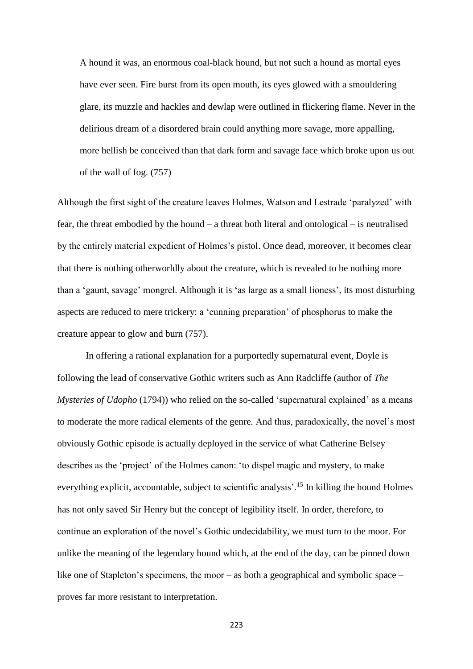A hound it was, an enormous coal-black hound, but not such a hound as mortal eyes have ever seen. Fire burst from its open mouth, its eyes glowed with a smouldering glare, its muzzle and hackles and dewlap were outlined in flickering flame. Never in the delirious dream of a disordered brain could anything more savage, more appalling, more hellish be conceived than that dark form and savage face which broke upon us out of the wall of fog. (757)

Although the first sight of the creature leaves Holmes, Watson and Lestrade 'paralyzed' with fear, the threat embodied by the hound – a threat both literal and ontological – is neutralised by the entirely material expedient of Holmes's pistol. Once dead, moreover, it becomes clear that there is nothing otherworldly about the creature, which is revealed to be nothing more than a 'gaunt, savage' mongrel. Although it is 'as large as a small lioness', its most disturbing aspects are reduced to mere trickery: a 'cunning preparation' of phosphorus to make the creature appear to glow and burn (757).

In offering a rational explanation for a purportedly supernatural event, Doyle is following the lead of conservative Gothic writers such as Ann Radcliffe (author of *The Mysteries of Udopho* (1794)) who relied on the so-called 'supernatural explained' as a means to moderate the more radical elements of the genre. And thus, paradoxically, the novel's most obviously Gothic episode is actually deployed in the service of what Catherine Belsey describes as the 'project' of the Holmes canon: 'to dispel magic and mystery, to make everything explicit, accountable, subject to scientific analysis'.<sup>15</sup> In killing the hound Holmes has not only saved Sir Henry but the concept of legibility itself. In order, therefore, to continue an exploration of the novel's Gothic undecidability, we must turn to the moor. For unlike the meaning of the legendary hound which, at the end of the day, can be pinned down like one of Stapleton's specimens, the moor – as both a geographical and symbolic space – proves far more resistant to interpretation.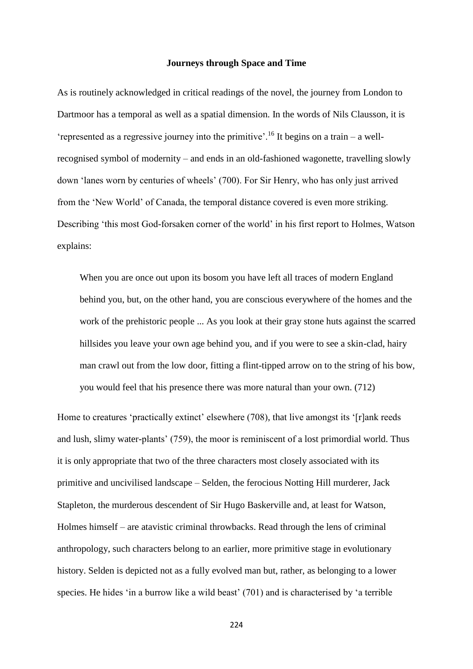### **Journeys through Space and Time**

As is routinely acknowledged in critical readings of the novel, the journey from London to Dartmoor has a temporal as well as a spatial dimension. In the words of Nils Clausson, it is 'represented as a regressive journey into the primitive'.<sup>16</sup> It begins on a train – a wellrecognised symbol of modernity – and ends in an old-fashioned wagonette, travelling slowly down 'lanes worn by centuries of wheels' (700). For Sir Henry, who has only just arrived from the 'New World' of Canada, the temporal distance covered is even more striking. Describing 'this most God-forsaken corner of the world' in his first report to Holmes, Watson explains:

When you are once out upon its bosom you have left all traces of modern England behind you, but, on the other hand, you are conscious everywhere of the homes and the work of the prehistoric people ... As you look at their gray stone huts against the scarred hillsides you leave your own age behind you, and if you were to see a skin-clad, hairy man crawl out from the low door, fitting a flint-tipped arrow on to the string of his bow, you would feel that his presence there was more natural than your own. (712)

Home to creatures 'practically extinct' elsewhere (708), that live amongst its '[r]ank reeds and lush, slimy water-plants' (759), the moor is reminiscent of a lost primordial world. Thus it is only appropriate that two of the three characters most closely associated with its primitive and uncivilised landscape – Selden, the ferocious Notting Hill murderer, Jack Stapleton, the murderous descendent of Sir Hugo Baskerville and, at least for Watson, Holmes himself – are atavistic criminal throwbacks. Read through the lens of criminal anthropology, such characters belong to an earlier, more primitive stage in evolutionary history. Selden is depicted not as a fully evolved man but, rather, as belonging to a lower species. He hides 'in a burrow like a wild beast' (701) and is characterised by 'a terrible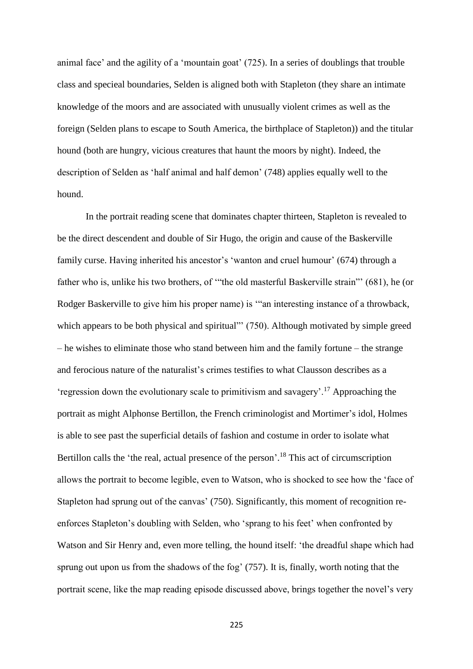animal face' and the agility of a 'mountain goat' (725). In a series of doublings that trouble class and specieal boundaries, Selden is aligned both with Stapleton (they share an intimate knowledge of the moors and are associated with unusually violent crimes as well as the foreign (Selden plans to escape to South America, the birthplace of Stapleton)) and the titular hound (both are hungry, vicious creatures that haunt the moors by night). Indeed, the description of Selden as 'half animal and half demon' (748) applies equally well to the hound.

In the portrait reading scene that dominates chapter thirteen, Stapleton is revealed to be the direct descendent and double of Sir Hugo, the origin and cause of the Baskerville family curse. Having inherited his ancestor's 'wanton and cruel humour' (674) through a father who is, unlike his two brothers, of '"the old masterful Baskerville strain"' (681), he (or Rodger Baskerville to give him his proper name) is '"an interesting instance of a throwback, which appears to be both physical and spiritual"' (750). Although motivated by simple greed – he wishes to eliminate those who stand between him and the family fortune – the strange and ferocious nature of the naturalist's crimes testifies to what Clausson describes as a 'regression down the evolutionary scale to primitivism and savagery'.<sup>17</sup> Approaching the portrait as might Alphonse Bertillon, the French criminologist and Mortimer's idol, Holmes is able to see past the superficial details of fashion and costume in order to isolate what Bertillon calls the 'the real, actual presence of the person'.<sup>18</sup> This act of circumscription allows the portrait to become legible, even to Watson, who is shocked to see how the 'face of Stapleton had sprung out of the canvas' (750). Significantly, this moment of recognition reenforces Stapleton's doubling with Selden, who 'sprang to his feet' when confronted by Watson and Sir Henry and, even more telling, the hound itself: 'the dreadful shape which had sprung out upon us from the shadows of the fog' (757). It is, finally, worth noting that the portrait scene, like the map reading episode discussed above, brings together the novel's very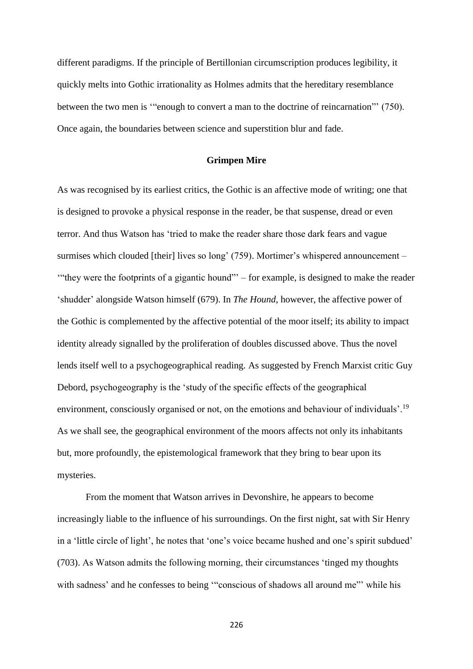different paradigms. If the principle of Bertillonian circumscription produces legibility, it quickly melts into Gothic irrationality as Holmes admits that the hereditary resemblance between the two men is '"enough to convert a man to the doctrine of reincarnation"' (750). Once again, the boundaries between science and superstition blur and fade.

### **Grimpen Mire**

As was recognised by its earliest critics, the Gothic is an affective mode of writing; one that is designed to provoke a physical response in the reader, be that suspense, dread or even terror. And thus Watson has 'tried to make the reader share those dark fears and vague surmises which clouded [their] lives so long' (759). Mortimer's whispered announcement – '"they were the footprints of a gigantic hound"' – for example, is designed to make the reader 'shudder' alongside Watson himself (679). In *The Hound*, however, the affective power of the Gothic is complemented by the affective potential of the moor itself; its ability to impact identity already signalled by the proliferation of doubles discussed above. Thus the novel lends itself well to a psychogeographical reading. As suggested by French Marxist critic Guy Debord, psychogeography is the 'study of the specific effects of the geographical environment, consciously organised or not, on the emotions and behaviour of individuals'.<sup>19</sup> As we shall see, the geographical environment of the moors affects not only its inhabitants but, more profoundly, the epistemological framework that they bring to bear upon its mysteries.

From the moment that Watson arrives in Devonshire, he appears to become increasingly liable to the influence of his surroundings. On the first night, sat with Sir Henry in a 'little circle of light', he notes that 'one's voice became hushed and one's spirit subdued' (703). As Watson admits the following morning, their circumstances 'tinged my thoughts with sadness' and he confesses to being '"conscious of shadows all around me"' while his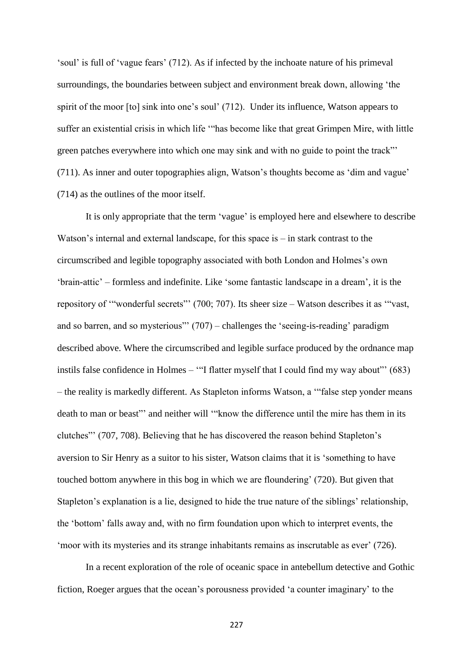'soul' is full of 'vague fears' (712). As if infected by the inchoate nature of his primeval surroundings, the boundaries between subject and environment break down, allowing 'the spirit of the moor [to] sink into one's soul' (712). Under its influence, Watson appears to suffer an existential crisis in which life '"has become like that great Grimpen Mire, with little green patches everywhere into which one may sink and with no guide to point the track"' (711). As inner and outer topographies align, Watson's thoughts become as 'dim and vague' (714) as the outlines of the moor itself.

It is only appropriate that the term 'vague' is employed here and elsewhere to describe Watson's internal and external landscape, for this space is – in stark contrast to the circumscribed and legible topography associated with both London and Holmes's own 'brain-attic' – formless and indefinite. Like 'some fantastic landscape in a dream', it is the repository of '"wonderful secrets"' (700; 707). Its sheer size – Watson describes it as '"vast, and so barren, and so mysterious"' (707) – challenges the 'seeing-is-reading' paradigm described above. Where the circumscribed and legible surface produced by the ordnance map instils false confidence in Holmes – "I flatter myself that I could find my way about" (683) – the reality is markedly different. As Stapleton informs Watson, a '"false step yonder means death to man or beast"' and neither will '"know the difference until the mire has them in its clutches"' (707, 708). Believing that he has discovered the reason behind Stapleton's aversion to Sir Henry as a suitor to his sister, Watson claims that it is 'something to have touched bottom anywhere in this bog in which we are floundering' (720). But given that Stapleton's explanation is a lie, designed to hide the true nature of the siblings' relationship, the 'bottom' falls away and, with no firm foundation upon which to interpret events, the 'moor with its mysteries and its strange inhabitants remains as inscrutable as ever' (726).

In a recent exploration of the role of oceanic space in antebellum detective and Gothic fiction, Roeger argues that the ocean's porousness provided 'a counter imaginary' to the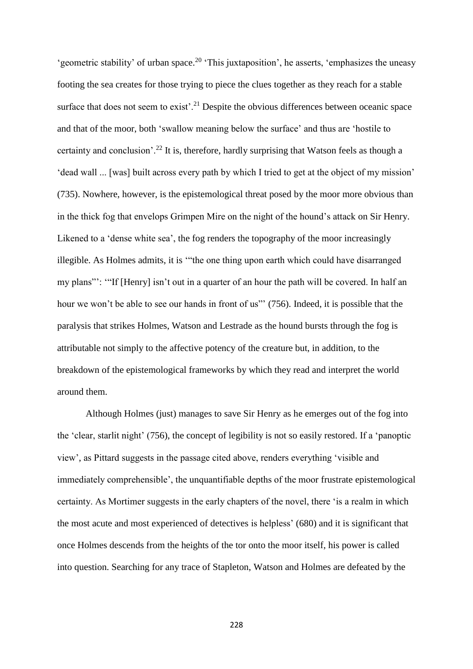'geometric stability' of urban space.<sup>20</sup> 'This juxtaposition', he asserts, 'emphasizes the uneasy footing the sea creates for those trying to piece the clues together as they reach for a stable surface that does not seem to exist'.<sup>21</sup> Despite the obvious differences between oceanic space and that of the moor, both 'swallow meaning below the surface' and thus are 'hostile to certainty and conclusion'.<sup>22</sup> It is, therefore, hardly surprising that Watson feels as though a 'dead wall ... [was] built across every path by which I tried to get at the object of my mission' (735). Nowhere, however, is the epistemological threat posed by the moor more obvious than in the thick fog that envelops Grimpen Mire on the night of the hound's attack on Sir Henry. Likened to a 'dense white sea', the fog renders the topography of the moor increasingly illegible. As Holmes admits, it is '"the one thing upon earth which could have disarranged my plans": "If [Henry] isn't out in a quarter of an hour the path will be covered. In half an hour we won't be able to see our hands in front of us" (756). Indeed, it is possible that the paralysis that strikes Holmes, Watson and Lestrade as the hound bursts through the fog is attributable not simply to the affective potency of the creature but, in addition, to the breakdown of the epistemological frameworks by which they read and interpret the world around them.

Although Holmes (just) manages to save Sir Henry as he emerges out of the fog into the 'clear, starlit night' (756), the concept of legibility is not so easily restored. If a 'panoptic view', as Pittard suggests in the passage cited above, renders everything 'visible and immediately comprehensible', the unquantifiable depths of the moor frustrate epistemological certainty. As Mortimer suggests in the early chapters of the novel, there 'is a realm in which the most acute and most experienced of detectives is helpless' (680) and it is significant that once Holmes descends from the heights of the tor onto the moor itself, his power is called into question. Searching for any trace of Stapleton, Watson and Holmes are defeated by the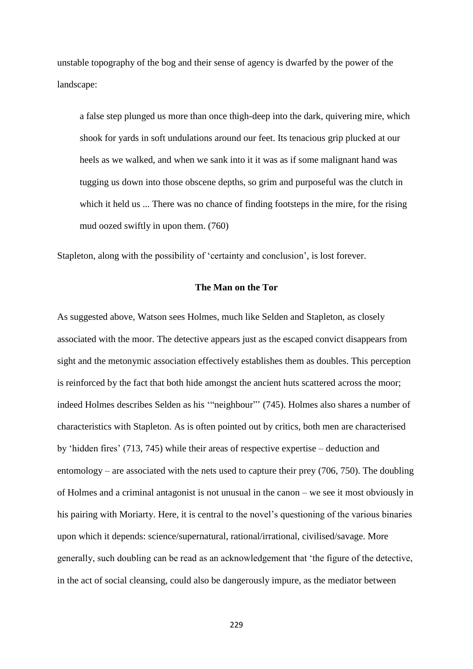unstable topography of the bog and their sense of agency is dwarfed by the power of the landscape:

a false step plunged us more than once thigh-deep into the dark, quivering mire, which shook for yards in soft undulations around our feet. Its tenacious grip plucked at our heels as we walked, and when we sank into it it was as if some malignant hand was tugging us down into those obscene depths, so grim and purposeful was the clutch in which it held us ... There was no chance of finding footsteps in the mire, for the rising mud oozed swiftly in upon them. (760)

Stapleton, along with the possibility of 'certainty and conclusion', is lost forever.

## **The Man on the Tor**

As suggested above, Watson sees Holmes, much like Selden and Stapleton, as closely associated with the moor. The detective appears just as the escaped convict disappears from sight and the metonymic association effectively establishes them as doubles. This perception is reinforced by the fact that both hide amongst the ancient huts scattered across the moor; indeed Holmes describes Selden as his '"neighbour"' (745). Holmes also shares a number of characteristics with Stapleton. As is often pointed out by critics, both men are characterised by 'hidden fires' (713, 745) while their areas of respective expertise – deduction and entomology – are associated with the nets used to capture their prey (706, 750). The doubling of Holmes and a criminal antagonist is not unusual in the canon – we see it most obviously in his pairing with Moriarty. Here, it is central to the novel's questioning of the various binaries upon which it depends: science/supernatural, rational/irrational, civilised/savage. More generally, such doubling can be read as an acknowledgement that 'the figure of the detective, in the act of social cleansing, could also be dangerously impure, as the mediator between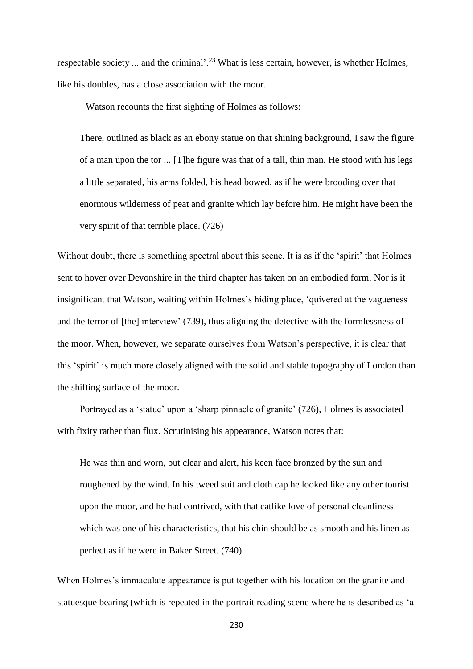respectable society ... and the criminal'.<sup>23</sup> What is less certain, however, is whether Holmes, like his doubles, has a close association with the moor.

Watson recounts the first sighting of Holmes as follows:

There, outlined as black as an ebony statue on that shining background, I saw the figure of a man upon the tor ... [T]he figure was that of a tall, thin man. He stood with his legs a little separated, his arms folded, his head bowed, as if he were brooding over that enormous wilderness of peat and granite which lay before him. He might have been the very spirit of that terrible place. (726)

Without doubt, there is something spectral about this scene. It is as if the 'spirit' that Holmes sent to hover over Devonshire in the third chapter has taken on an embodied form. Nor is it insignificant that Watson, waiting within Holmes's hiding place, 'quivered at the vagueness and the terror of [the] interview' (739), thus aligning the detective with the formlessness of the moor. When, however, we separate ourselves from Watson's perspective, it is clear that this 'spirit' is much more closely aligned with the solid and stable topography of London than the shifting surface of the moor.

Portrayed as a 'statue' upon a 'sharp pinnacle of granite' (726), Holmes is associated with fixity rather than flux. Scrutinising his appearance, Watson notes that:

He was thin and worn, but clear and alert, his keen face bronzed by the sun and roughened by the wind. In his tweed suit and cloth cap he looked like any other tourist upon the moor, and he had contrived, with that catlike love of personal cleanliness which was one of his characteristics, that his chin should be as smooth and his linen as perfect as if he were in Baker Street. (740)

When Holmes's immaculate appearance is put together with his location on the granite and statuesque bearing (which is repeated in the portrait reading scene where he is described as 'a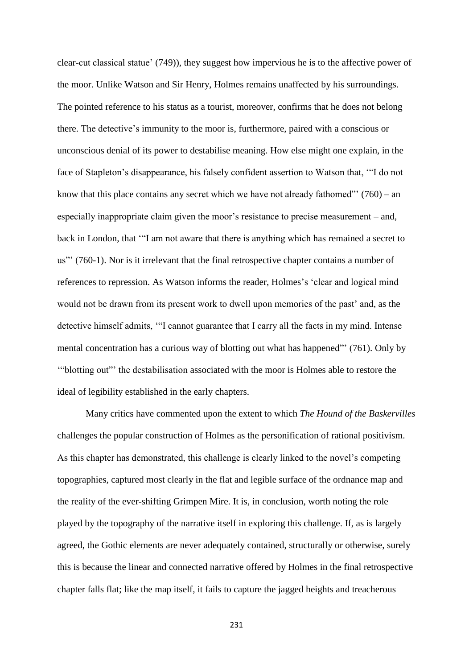clear-cut classical statue' (749)), they suggest how impervious he is to the affective power of the moor. Unlike Watson and Sir Henry, Holmes remains unaffected by his surroundings. The pointed reference to his status as a tourist, moreover, confirms that he does not belong there. The detective's immunity to the moor is, furthermore, paired with a conscious or unconscious denial of its power to destabilise meaning. How else might one explain, in the face of Stapleton's disappearance, his falsely confident assertion to Watson that, '"I do not know that this place contains any secret which we have not already fathomed"'  $(760)$  – an especially inappropriate claim given the moor's resistance to precise measurement – and, back in London, that '"I am not aware that there is anything which has remained a secret to us"' (760-1). Nor is it irrelevant that the final retrospective chapter contains a number of references to repression. As Watson informs the reader, Holmes's 'clear and logical mind would not be drawn from its present work to dwell upon memories of the past' and, as the detective himself admits, '"I cannot guarantee that I carry all the facts in my mind. Intense mental concentration has a curious way of blotting out what has happened"' (761). Only by '"blotting out"' the destabilisation associated with the moor is Holmes able to restore the ideal of legibility established in the early chapters.

Many critics have commented upon the extent to which *The Hound of the Baskervilles* challenges the popular construction of Holmes as the personification of rational positivism. As this chapter has demonstrated, this challenge is clearly linked to the novel's competing topographies, captured most clearly in the flat and legible surface of the ordnance map and the reality of the ever-shifting Grimpen Mire. It is, in conclusion, worth noting the role played by the topography of the narrative itself in exploring this challenge. If, as is largely agreed, the Gothic elements are never adequately contained, structurally or otherwise, surely this is because the linear and connected narrative offered by Holmes in the final retrospective chapter falls flat; like the map itself, it fails to capture the jagged heights and treacherous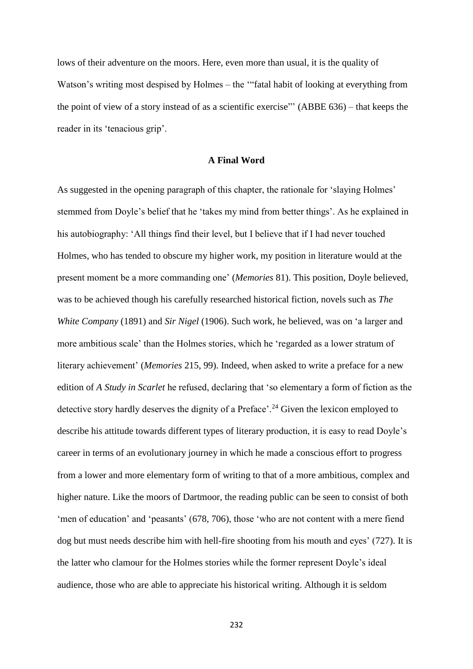lows of their adventure on the moors. Here, even more than usual, it is the quality of Watson's writing most despised by Holmes – the "fatal habit of looking at everything from the point of view of a story instead of as a scientific exercise"' (ABBE 636) – that keeps the reader in its 'tenacious grip'.

#### **A Final Word**

As suggested in the opening paragraph of this chapter, the rationale for 'slaying Holmes' stemmed from Doyle's belief that he 'takes my mind from better things'. As he explained in his autobiography: 'All things find their level, but I believe that if I had never touched Holmes, who has tended to obscure my higher work, my position in literature would at the present moment be a more commanding one' (*Memories* 81). This position, Doyle believed, was to be achieved though his carefully researched historical fiction, novels such as *The White Company* (1891) and *Sir Nigel* (1906). Such work, he believed, was on 'a larger and more ambitious scale' than the Holmes stories, which he 'regarded as a lower stratum of literary achievement' (*Memories* 215, 99). Indeed, when asked to write a preface for a new edition of *A Study in Scarlet* he refused, declaring that 'so elementary a form of fiction as the detective story hardly deserves the dignity of a Preface'.<sup>24</sup> Given the lexicon employed to describe his attitude towards different types of literary production, it is easy to read Doyle's career in terms of an evolutionary journey in which he made a conscious effort to progress from a lower and more elementary form of writing to that of a more ambitious, complex and higher nature. Like the moors of Dartmoor, the reading public can be seen to consist of both 'men of education' and 'peasants' (678, 706), those 'who are not content with a mere fiend dog but must needs describe him with hell-fire shooting from his mouth and eyes' (727). It is the latter who clamour for the Holmes stories while the former represent Doyle's ideal audience, those who are able to appreciate his historical writing. Although it is seldom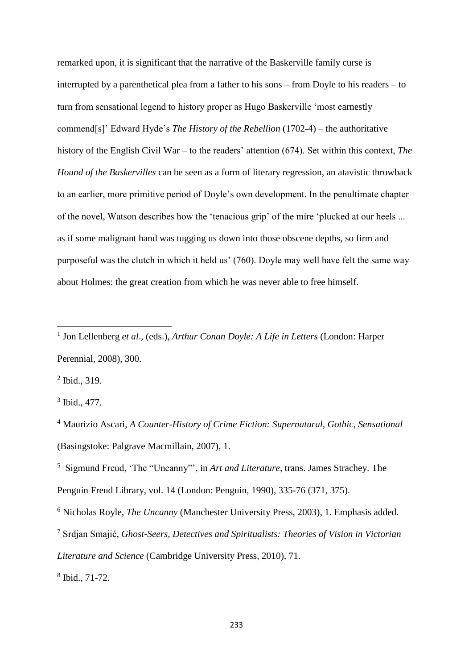remarked upon, it is significant that the narrative of the Baskerville family curse is interrupted by a parenthetical plea from a father to his sons – from Doyle to his readers – to turn from sensational legend to history proper as Hugo Baskerville 'most earnestly commend[s]' Edward Hyde's *The History of the Rebellion* (1702-4) – the authoritative history of the English Civil War – to the readers' attention (674). Set within this context, *The Hound of the Baskervilles* can be seen as a form of literary regression, an atavistic throwback to an earlier, more primitive period of Doyle's own development. In the penultimate chapter of the novel, Watson describes how the 'tenacious grip' of the mire 'plucked at our heels ... as if some malignant hand was tugging us down into those obscene depths, so firm and purposeful was the clutch in which it held us' (760). Doyle may well have felt the same way about Holmes: the great creation from which he was never able to free himself.

2 Ibid., 319.

1

3 Ibid., 477.

8 Ibid., 71-72.

<sup>1</sup> Jon Lellenberg *et al*., (eds.), *Arthur Conan Doyle: A Life in Letters* (London: Harper Perennial, 2008), 300.

<sup>4</sup> Maurizio Ascari, *A Counter-History of Crime Fiction: Supernatural, Gothic, Sensational* (Basingstoke: Palgrave Macmillain, 2007), 1.

<sup>5</sup> Sigmund Freud, 'The "Uncanny"', in *Art and Literature*, trans. James Strachey. The Penguin Freud Library, vol. 14 (London: Penguin, 1990), 335-76 (371, 375).

<sup>6</sup> Nicholas Royle, *The Uncanny* (Manchester University Press, 2003), 1. Emphasis added.

<sup>7</sup> Srdjan Smajić, *Ghost-Seers, Detectives and Spiritualists: Theories of Vision in Victorian Literature and Science* (Cambridge University Press, 2010), 71.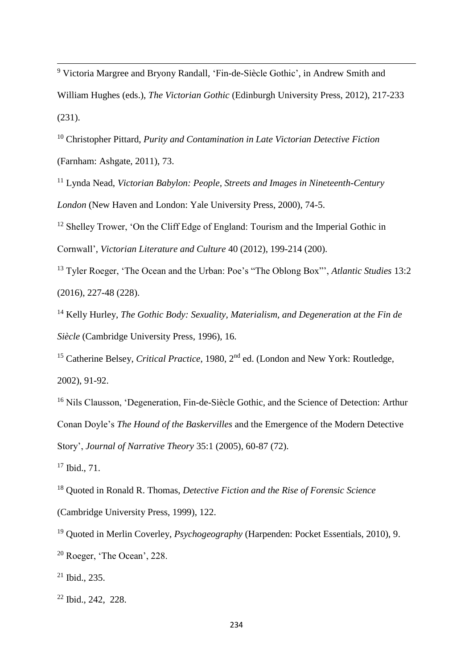<sup>9</sup> Victoria Margree and Bryony Randall, 'Fin-de-Siècle Gothic', in Andrew Smith and William Hughes (eds.), *The Victorian Gothic* (Edinburgh University Press, 2012), 217-233 (231).

<sup>10</sup> Christopher Pittard, *Purity and Contamination in Late Victorian Detective Fiction*

(Farnham: Ashgate, 2011), 73.

**.** 

<sup>11</sup> Lynda Nead, *Victorian Babylon: People, Streets and Images in Nineteenth-Century London* (New Haven and London: Yale University Press, 2000), 74-5.

<sup>12</sup> Shelley Trower, 'On the Cliff Edge of England: Tourism and the Imperial Gothic in Cornwall', *Victorian Literature and Culture* 40 (2012), 199-214 (200).

<sup>13</sup> Tyler Roeger, 'The Ocean and the Urban: Poe's "The Oblong Box"', *Atlantic Studies* 13:2 (2016), 227-48 (228).

<sup>14</sup> Kelly Hurley, *The Gothic Body: Sexuality, Materialism, and Degeneration at the Fin de Siècle* (Cambridge University Press, 1996), 16.

<sup>15</sup> Catherine Belsey, *Critical Practice*, 1980, 2<sup>nd</sup> ed. (London and New York: Routledge, 2002), 91-92.

<sup>16</sup> Nils Clausson, 'Degeneration, Fin-de-Siècle Gothic, and the Science of Detection: Arthur Conan Doyle's *The Hound of the Baskervilles* and the Emergence of the Modern Detective Story', *Journal of Narrative Theory* 35:1 (2005), 60-87 (72).

 $17$  Ibid.,  $71$ .

<sup>18</sup> Quoted in Ronald R. Thomas, *Detective Fiction and the Rise of Forensic Science* (Cambridge University Press, 1999), 122.

<sup>19</sup> Quoted in Merlin Coverley, *Psychogeography* (Harpenden: Pocket Essentials, 2010), 9.

 $21$  Ibid., 235.

<sup>22</sup> Ibid., 242, 228.

<sup>20</sup> Roeger, 'The Ocean', 228.